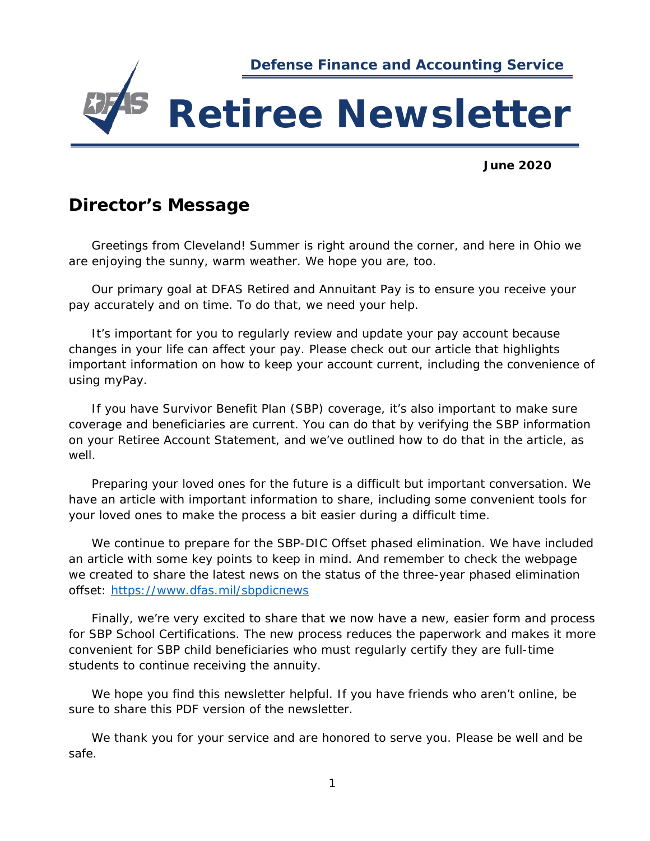

**June 2020**

## **Director's Message**

Greetings from Cleveland! Summer is right around the corner, and here in Ohio we are enjoying the sunny, warm weather. We hope you are, too.

Our primary goal at DFAS Retired and Annuitant Pay is to ensure you receive your pay accurately and on time. To do that, we need your help.

It's important for you to regularly review and update your pay account because changes in your life can affect your pay. Please check out our article that highlights important information on how to keep your account current, including the convenience of using myPay.

If you have Survivor Benefit Plan (SBP) coverage, it's also important to make sure coverage and beneficiaries are current. You can do that by verifying the SBP information on your Retiree Account Statement, and we've outlined how to do that in the article, as well.

Preparing your loved ones for the future is a difficult but important conversation. We have an article with important information to share, including some convenient tools for your loved ones to make the process a bit easier during a difficult time.

We continue to prepare for the SBP-DIC Offset phased elimination. We have included an article with some key points to keep in mind. And remember to check the webpage we created to share the latest news on the status of the three-year phased elimination offset:<https://www.dfas.mil/sbpdicnews>

Finally, we're very excited to share that we now have a new, easier form and process for SBP School Certifications. The new process reduces the paperwork and makes it more convenient for SBP child beneficiaries who must regularly certify they are full-time students to continue receiving the annuity.

We hope you find this newsletter helpful. If you have friends who aren't online, be sure to share this PDF version of the newsletter.

We thank you for your service and are honored to serve you. Please be well and be safe.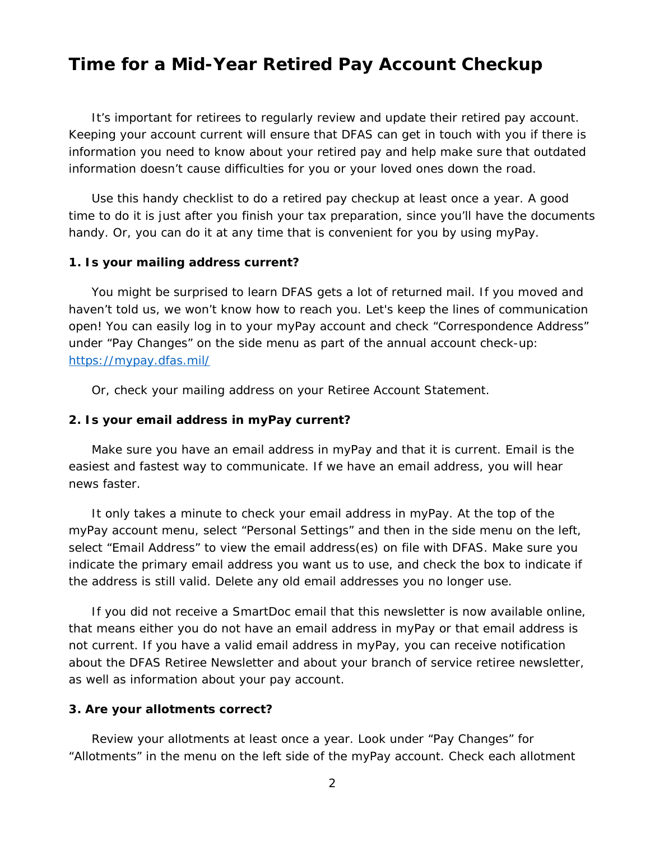## **Time for a Mid-Year Retired Pay Account Checkup**

It's important for retirees to regularly review and update their retired pay account. Keeping your account current will ensure that DFAS can get in touch with you if there is information you need to know about your retired pay and help make sure that outdated information doesn't cause difficulties for you or your loved ones down the road.

Use this handy checklist to do a retired pay checkup at least once a year. A good time to do it is just after you finish your tax preparation, since you'll have the documents handy. Or, you can do it at any time that is convenient for you by using myPay.

#### **1. Is your mailing address current?**

You might be surprised to learn DFAS gets a lot of returned mail. If you moved and haven't told us, we won't know how to reach you. Let's keep the lines of communication open! You can easily log in to your myPay account and check "Correspondence Address" under "Pay Changes" on the side menu as part of the annual account check-up: <https://mypay.dfas.mil/>

Or, check your mailing address on your Retiree Account Statement.

#### **2. Is your email address in myPay current?**

Make sure you have an email address in myPay and that it is current. Email is the easiest and fastest way to communicate. If we have an email address, you will hear news faster.

It only takes a minute to check your email address in myPay. At the top of the myPay account menu, select "Personal Settings" and then in the side menu on the left, select "Email Address" to view the email address(es) on file with DFAS. Make sure you indicate the primary email address you want us to use, and check the box to indicate if the address is still valid. Delete any old email addresses you no longer use.

If you did not receive a SmartDoc email that this newsletter is now available online, that means either you do not have an email address in myPay or that email address is not current. If you have a valid email address in myPay, you can receive notification about the DFAS Retiree Newsletter and about your branch of service retiree newsletter, as well as information about your pay account.

#### **3. Are your allotments correct?**

Review your allotments at least once a year. Look under "Pay Changes" for "Allotments" in the menu on the left side of the myPay account. Check each allotment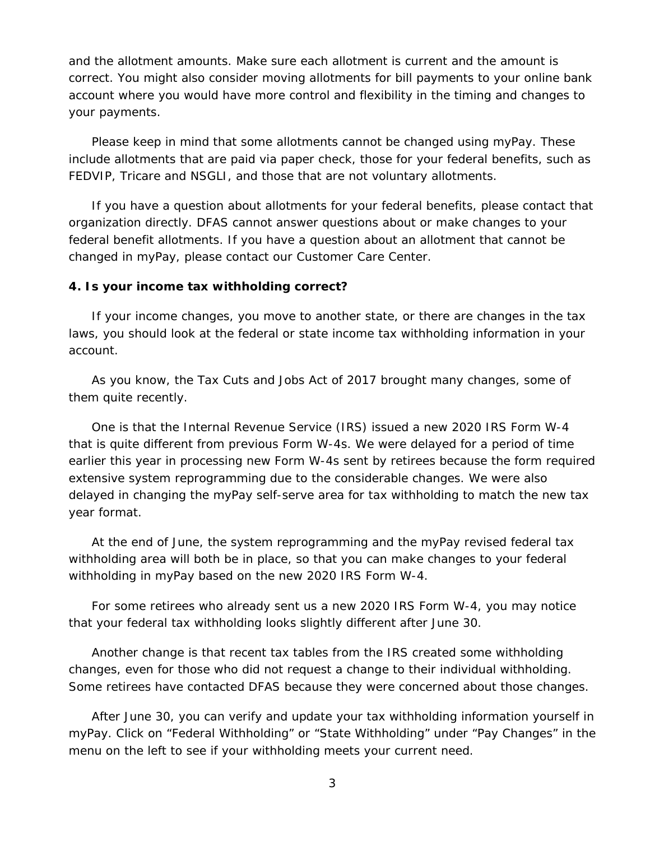and the allotment amounts. Make sure each allotment is current and the amount is correct. You might also consider moving allotments for bill payments to your online bank account where you would have more control and flexibility in the timing and changes to your payments.

Please keep in mind that some allotments cannot be changed using myPay. These include allotments that are paid via paper check, those for your federal benefits, such as FEDVIP, Tricare and NSGLI, and those that are not voluntary allotments.

If you have a question about allotments for your federal benefits, please contact that organization directly. DFAS cannot answer questions about or make changes to your federal benefit allotments. If you have a question about an allotment that cannot be changed in myPay, please contact our Customer Care Center.

#### **4. Is your income tax withholding correct?**

If your income changes, you move to another state, or there are changes in the tax laws, you should look at the federal or state income tax withholding information in your account.

As you know, the Tax Cuts and Jobs Act of 2017 brought many changes, some of them quite recently.

One is that the Internal Revenue Service (IRS) issued a new 2020 IRS Form W-4 that is quite different from previous Form W-4s. We were delayed for a period of time earlier this year in processing new Form W-4s sent by retirees because the form required extensive system reprogramming due to the considerable changes. We were also delayed in changing the myPay self-serve area for tax withholding to match the new tax year format.

At the end of June, the system reprogramming and the myPay revised federal tax withholding area will both be in place, so that you can make changes to your federal withholding in myPay based on the new 2020 IRS Form W-4.

For some retirees who already sent us a new 2020 IRS Form W-4, you may notice that your federal tax withholding looks slightly different after June 30.

Another change is that recent tax tables from the IRS created some withholding changes, even for those who did not request a change to their individual withholding. Some retirees have contacted DFAS because they were concerned about those changes.

After June 30, you can verify and update your tax withholding information yourself in myPay. Click on "Federal Withholding" or "State Withholding" under "Pay Changes" in the menu on the left to see if your withholding meets your current need.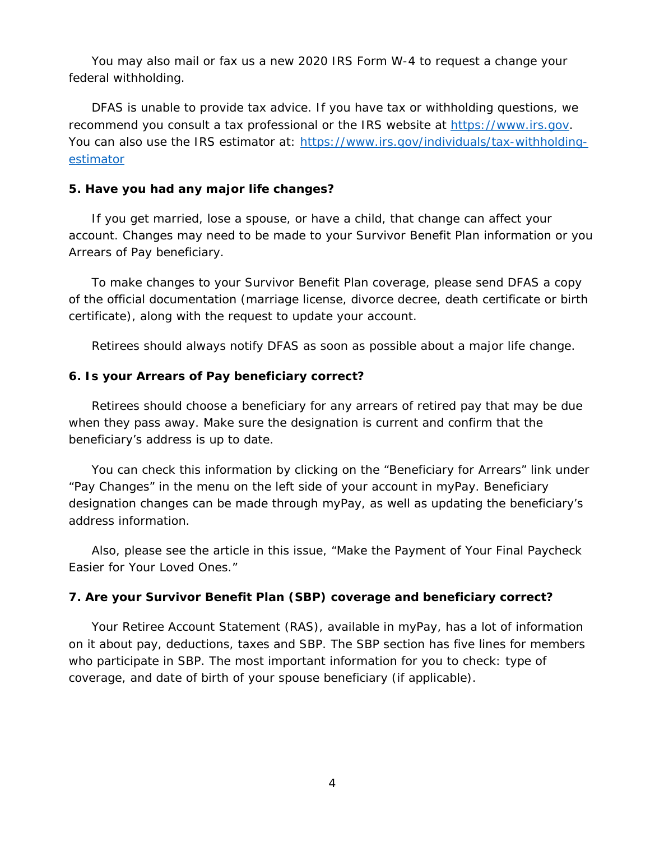You may also mail or fax us a new 2020 IRS Form W-4 to request a change your federal withholding.

DFAS is unable to provide tax advice. If you have tax or withholding questions, we recommend you consult a tax professional or the IRS website at [https://www.irs.gov.](https://www.irs.gov/) You can also use the IRS estimator at: [https://www.irs.gov/individuals/tax-withholding](https://www.irs.gov/individuals/tax-withholding-estimator)[estimator](https://www.irs.gov/individuals/tax-withholding-estimator)

## **5. Have you had any major life changes?**

If you get married, lose a spouse, or have a child, that change can affect your account. Changes may need to be made to your Survivor Benefit Plan information or you Arrears of Pay beneficiary.

To make changes to your Survivor Benefit Plan coverage, please send DFAS a copy of the official documentation (marriage license, divorce decree, death certificate or birth certificate), along with the request to update your account.

Retirees should always notify DFAS as soon as possible about a major life change.

## **6. Is your Arrears of Pay beneficiary correct?**

Retirees should choose a beneficiary for any arrears of retired pay that may be due when they pass away. Make sure the designation is current and confirm that the beneficiary's address is up to date.

You can check this information by clicking on the "Beneficiary for Arrears" link under "Pay Changes" in the menu on the left side of your account in myPay. Beneficiary designation changes can be made through myPay, as well as updating the beneficiary's address information.

Also, please see the article in this issue, "Make the Payment of Your Final Paycheck Easier for Your Loved Ones."

## **7. Are your Survivor Benefit Plan (SBP) coverage and beneficiary correct?**

Your Retiree Account Statement (RAS), available in myPay, has a lot of information on it about pay, deductions, taxes and SBP. The SBP section has five lines for members who participate in SBP. The most important information for you to check: type of coverage, and date of birth of your spouse beneficiary (if applicable).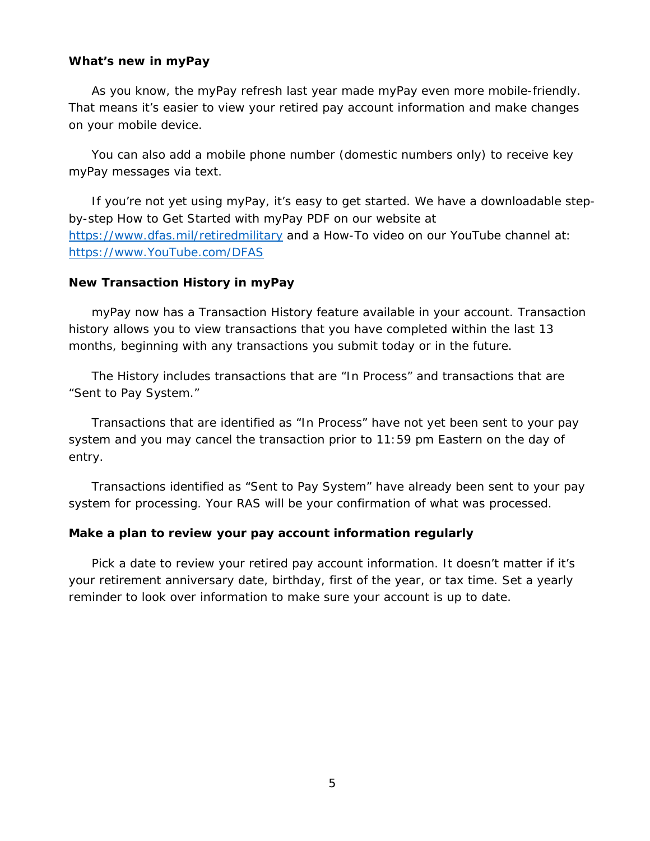#### **What's new in myPay**

As you know, the myPay refresh last year made myPay even more mobile-friendly. That means it's easier to view your retired pay account information and make changes on your mobile device.

You can also add a mobile phone number (domestic numbers only) to receive key myPay messages via text.

If you're not yet using myPay, it's easy to get started. We have a downloadable stepby-step How to Get Started with myPay PDF on our website at <https://www.dfas.mil/retiredmilitary> and a How-To video on our YouTube channel at: [https://www.YouTube.com/DFAS](https://www.youtube.com/DFAS)

#### **New Transaction History in myPay**

myPay now has a Transaction History feature available in your account. Transaction history allows you to view transactions that you have completed within the last 13 months, beginning with any transactions you submit today or in the future.

The History includes transactions that are "In Process" and transactions that are "Sent to Pay System."

Transactions that are identified as "In Process" have not yet been sent to your pay system and you may cancel the transaction prior to 11:59 pm Eastern on the day of entry.

Transactions identified as "Sent to Pay System" have already been sent to your pay system for processing. Your RAS will be your confirmation of what was processed.

## **Make a plan to review your pay account information regularly**

Pick a date to review your retired pay account information. It doesn't matter if it's your retirement anniversary date, birthday, first of the year, or tax time. Set a yearly reminder to look over information to make sure your account is up to date.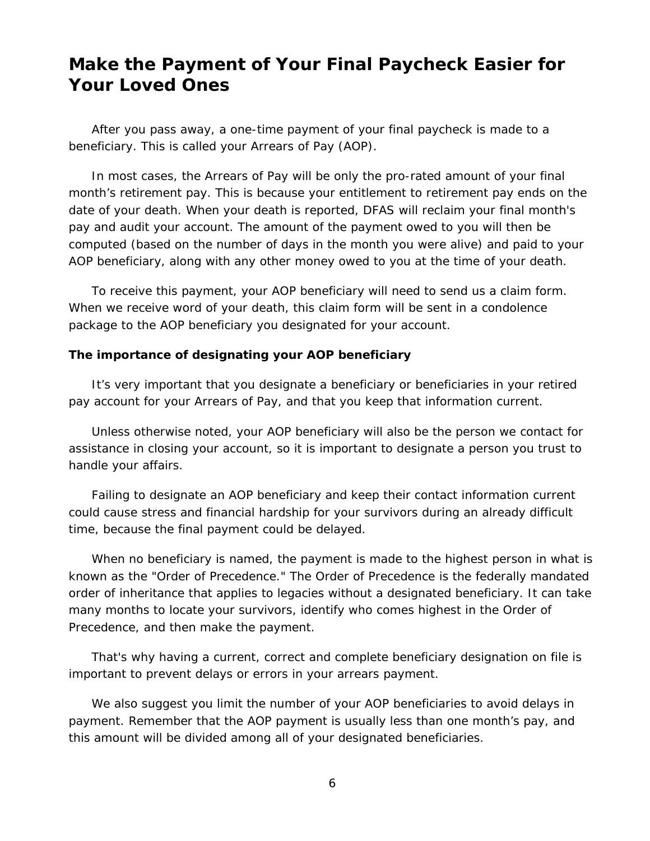## **Make the Payment of Your Final Paycheck Easier for Your Loved Ones**

After you pass away, a one-time payment of your final paycheck is made to a beneficiary. This is called your Arrears of Pay (AOP).

In most cases, the Arrears of Pay will be only the pro-rated amount of your final month's retirement pay. This is because your entitlement to retirement pay ends on the date of your death. When your death is reported, DFAS will reclaim your final month's pay and audit your account. The amount of the payment owed to you will then be computed (based on the number of days in the month you were alive) and paid to your AOP beneficiary, along with any other money owed to you at the time of your death.

To receive this payment, your AOP beneficiary will need to send us a claim form. When we receive word of your death, this claim form will be sent in a condolence package to the AOP beneficiary you designated for your account.

#### **The importance of designating your AOP beneficiary**

It's very important that you designate a beneficiary or beneficiaries in your retired pay account for your Arrears of Pay, and that you keep that information current.

Unless otherwise noted, your AOP beneficiary will also be the person we contact for assistance in closing your account, so it is important to designate a person you trust to handle your affairs.

Failing to designate an AOP beneficiary and keep their contact information current could cause stress and financial hardship for your survivors during an already difficult time, because the final payment could be delayed.

When no beneficiary is named, the payment is made to the highest person in what is known as the "Order of Precedence." The Order of Precedence is the federally mandated order of inheritance that applies to legacies without a designated beneficiary. It can take many months to locate your survivors, identify who comes highest in the Order of Precedence, and then make the payment.

That's why having a current, correct and complete beneficiary designation on file is important to prevent delays or errors in your arrears payment.

We also suggest you limit the number of your AOP beneficiaries to avoid delays in payment. Remember that the AOP payment is usually less than one month's pay, and this amount will be divided among all of your designated beneficiaries.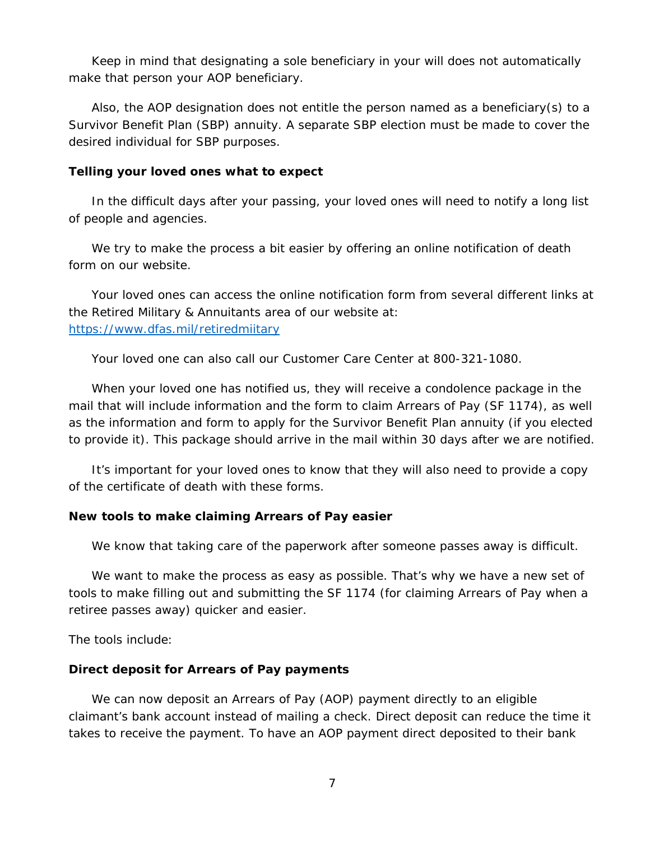Keep in mind that designating a sole beneficiary in your will does not automatically make that person your AOP beneficiary.

Also, the AOP designation does not entitle the person named as a beneficiary(s) to a Survivor Benefit Plan (SBP) annuity. A separate SBP election must be made to cover the desired individual for SBP purposes.

#### **Telling your loved ones what to expect**

In the difficult days after your passing, your loved ones will need to notify a long list of people and agencies.

We try to make the process a bit easier by offering an online notification of death form on our website.

Your loved ones can access the online notification form from several different links at the Retired Military & Annuitants area of our website at: <https://www.dfas.mil/retiredmiitary>

Your loved one can also call our Customer Care Center at 800-321-1080.

When your loved one has notified us, they will receive a condolence package in the mail that will include information and the form to claim Arrears of Pay (SF 1174), as well as the information and form to apply for the Survivor Benefit Plan annuity (if you elected to provide it). This package should arrive in the mail within 30 days after we are notified.

It's important for your loved ones to know that they will also need to provide a copy of the certificate of death with these forms.

#### **New tools to make claiming Arrears of Pay easier**

We know that taking care of the paperwork after someone passes away is difficult.

We want to make the process as easy as possible. That's why we have a new set of tools to make filling out and submitting the SF 1174 (for claiming Arrears of Pay when a retiree passes away) quicker and easier.

The tools include:

#### **Direct deposit for Arrears of Pay payments**

We can now deposit an Arrears of Pay (AOP) payment directly to an eligible claimant's bank account instead of mailing a check. Direct deposit can reduce the time it takes to receive the payment. To have an AOP payment direct deposited to their bank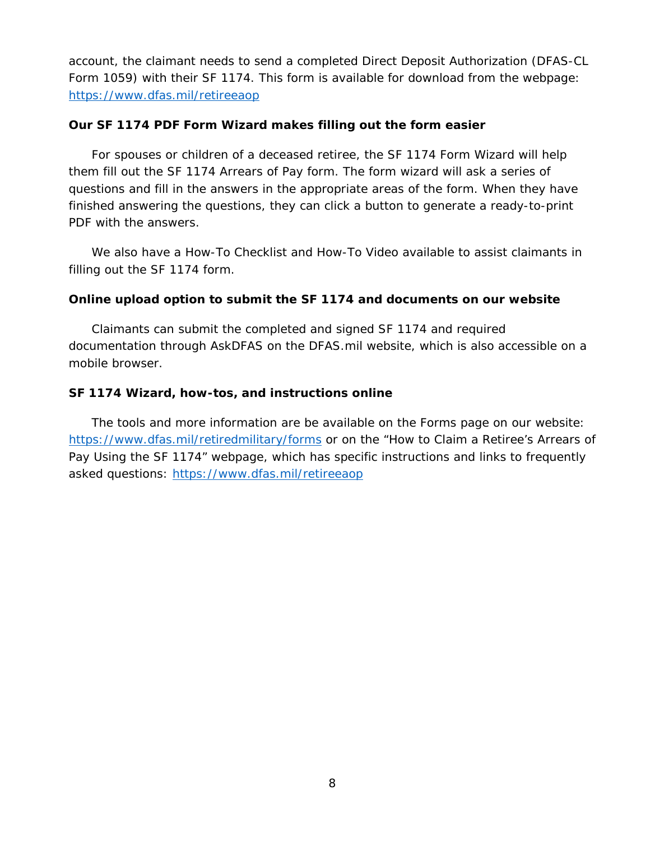account, the claimant needs to send a completed Direct Deposit Authorization (DFAS-CL Form 1059) with their SF 1174. This form is available for download from the webpage: <https://www.dfas.mil/retireeaop>

## **Our SF 1174 PDF Form Wizard makes filling out the form easier**

For spouses or children of a deceased retiree, the SF 1174 Form Wizard will help them fill out the SF 1174 Arrears of Pay form. The form wizard will ask a series of questions and fill in the answers in the appropriate areas of the form. When they have finished answering the questions, they can click a button to generate a ready-to-print PDF with the answers.

We also have a How-To Checklist and How-To Video available to assist claimants in filling out the SF 1174 form.

## **Online upload option to submit the SF 1174 and documents on our website**

Claimants can submit the completed and signed SF 1174 and required documentation through AskDFAS on the DFAS.mil website, which is also accessible on a mobile browser.

## **SF 1174 Wizard, how-tos, and instructions online**

The tools and more information are be available on the Forms page on our website: <https://www.dfas.mil/retiredmilitary/forms> or on the "How to Claim a Retiree's Arrears of Pay Using the SF 1174" webpage, which has specific instructions and links to frequently asked questions:<https://www.dfas.mil/retireeaop>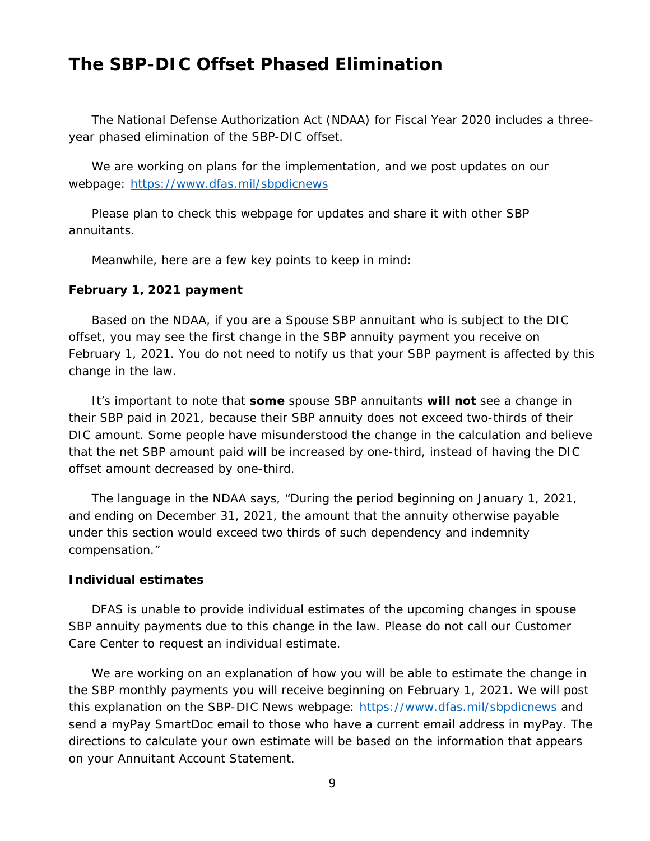## **The SBP-DIC Offset Phased Elimination**

The National Defense Authorization Act (NDAA) for Fiscal Year 2020 includes a threeyear phased elimination of the SBP-DIC offset.

We are working on plans for the implementation, and we post updates on our webpage:<https://www.dfas.mil/sbpdicnews>

Please plan to check this webpage for updates and share it with other SBP annuitants.

Meanwhile, here are a few key points to keep in mind:

#### **February 1, 2021 payment**

Based on the NDAA, if you are a Spouse SBP annuitant who is subject to the DIC offset, you may see the first change in the SBP annuity payment you receive on February 1, 2021. You do not need to notify us that your SBP payment is affected by this change in the law.

It's important to note that **some** spouse SBP annuitants **will not** see a change in their SBP paid in 2021, because their SBP annuity does not exceed two-thirds of their DIC amount. Some people have misunderstood the change in the calculation and believe that the net SBP amount paid will be increased by one-third, instead of having the DIC offset amount decreased by one-third.

The language in the NDAA says, "During the period beginning on January 1, 2021, and ending on December 31, 2021, the amount that the annuity otherwise payable under this section would exceed two thirds of such dependency and indemnity compensation."

#### **Individual estimates**

DFAS is unable to provide individual estimates of the upcoming changes in spouse SBP annuity payments due to this change in the law. Please do not call our Customer Care Center to request an individual estimate.

We are working on an explanation of how you will be able to estimate the change in the SBP monthly payments you will receive beginning on February 1, 2021. We will post this explanation on the SBP-DIC News webpage:<https://www.dfas.mil/sbpdicnews> and send a myPay SmartDoc email to those who have a current email address in myPay. The directions to calculate your own estimate will be based on the information that appears on your Annuitant Account Statement.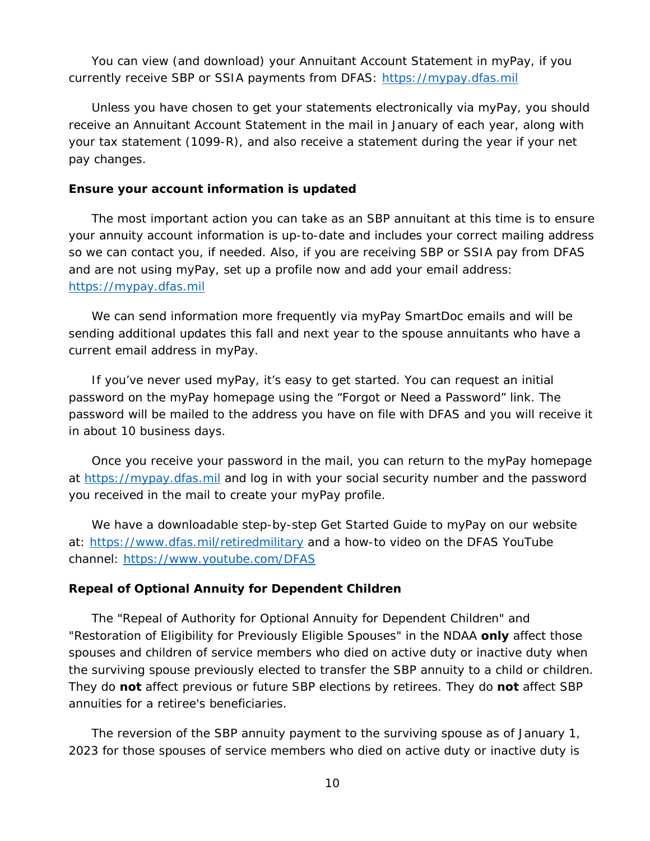You can view (and download) your Annuitant Account Statement in myPay, if you currently receive SBP or SSIA payments from DFAS: [https://mypay.dfas.mil](https://mypay.dfas.mil/)

Unless you have chosen to get your statements electronically via myPay, you should receive an Annuitant Account Statement in the mail in January of each year, along with your tax statement (1099-R), and also receive a statement during the year if your net pay changes.

#### **Ensure your account information is updated**

The most important action you can take as an SBP annuitant at this time is to ensure your annuity account information is up-to-date and includes your correct mailing address so we can contact you, if needed. Also, if you are receiving SBP or SSIA pay from DFAS and are not using myPay, set up a profile now and add your email address: [https://mypay.dfas.mil](https://mypay.dfas.mil/)

We can send information more frequently via myPay SmartDoc emails and will be sending additional updates this fall and next year to the spouse annuitants who have a current email address in myPay.

If you've never used myPay, it's easy to get started. You can request an initial password on the myPay homepage using the "Forgot or Need a Password" link. The password will be mailed to the address you have on file with DFAS and you will receive it in about 10 business days.

Once you receive your password in the mail, you can return to the myPay homepage at [https://mypay.dfas.mil](https://mypay.dfas.mil/) and log in with your social security number and the password you received in the mail to create your myPay profile.

We have a downloadable step-by-step Get Started Guide to myPay on our website at:<https://www.dfas.mil/retiredmilitary> and a how-to video on the DFAS YouTube channel:<https://www.youtube.com/DFAS>

## **Repeal of Optional Annuity for Dependent Children**

The "Repeal of Authority for Optional Annuity for Dependent Children" and "Restoration of Eligibility for Previously Eligible Spouses" in the NDAA **only** affect those spouses and children of service members who died on active duty or inactive duty when the surviving spouse previously elected to transfer the SBP annuity to a child or children. They do **not** affect previous or future SBP elections by retirees. They do **not** affect SBP annuities for a retiree's beneficiaries.

The reversion of the SBP annuity payment to the surviving spouse as of January 1, 2023 for those spouses of service members who died on active duty or inactive duty is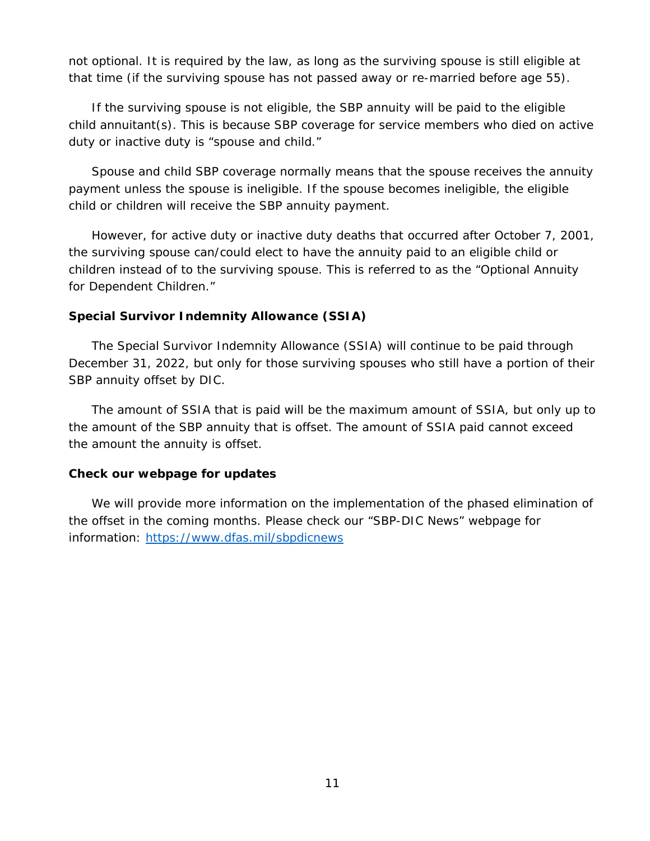not optional. It is required by the law, as long as the surviving spouse is still eligible at that time (if the surviving spouse has not passed away or re-married before age 55).

If the surviving spouse is not eligible, the SBP annuity will be paid to the eligible child annuitant(s). This is because SBP coverage for service members who died on active duty or inactive duty is "spouse and child."

Spouse and child SBP coverage normally means that the spouse receives the annuity payment unless the spouse is ineligible. If the spouse becomes ineligible, the eligible child or children will receive the SBP annuity payment.

However, for active duty or inactive duty deaths that occurred after October 7, 2001, the surviving spouse can/could elect to have the annuity paid to an eligible child or children instead of to the surviving spouse. This is referred to as the "Optional Annuity for Dependent Children."

## **Special Survivor Indemnity Allowance (SSIA)**

The Special Survivor Indemnity Allowance (SSIA) will continue to be paid through December 31, 2022, but only for those surviving spouses who still have a portion of their SBP annuity offset by DIC.

The amount of SSIA that is paid will be the maximum amount of SSIA, but only up to the amount of the SBP annuity that is offset. The amount of SSIA paid cannot exceed the amount the annuity is offset.

## **Check our webpage for updates**

We will provide more information on the implementation of the phased elimination of the offset in the coming months. Please check our "SBP-DIC News" webpage for information: <https://www.dfas.mil/sbpdicnews>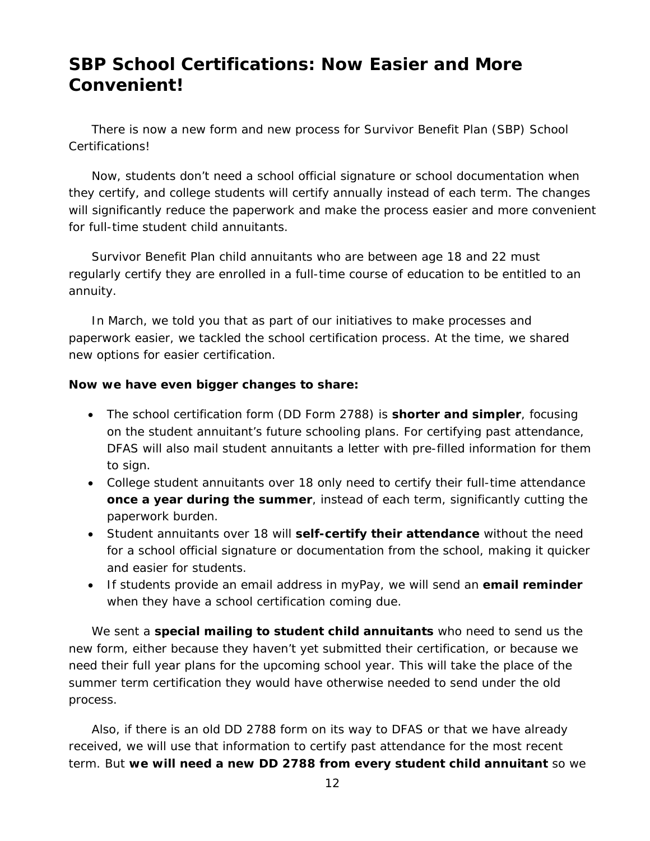# **SBP School Certifications: Now Easier and More Convenient!**

There is now a new form and new process for Survivor Benefit Plan (SBP) School Certifications!

Now, students don't need a school official signature or school documentation when they certify, and college students will certify annually instead of each term. The changes will significantly reduce the paperwork and make the process easier and more convenient for full-time student child annuitants.

Survivor Benefit Plan child annuitants who are between age 18 and 22 must regularly certify they are enrolled in a full-time course of education to be entitled to an annuity.

In March, we told you that as part of our initiatives to make processes and paperwork easier, we tackled the school certification process. At the time, we shared new options for easier certification.

## **Now we have even bigger changes to share:**

- The school certification form (DD Form 2788) is **shorter and simpler**, focusing on the student annuitant's future schooling plans. For certifying past attendance, DFAS will also mail student annuitants a letter with pre-filled information for them to sign.
- College student annuitants over 18 only need to certify their full-time attendance **once a year during the summer**, instead of each term, significantly cutting the paperwork burden.
- Student annuitants over 18 will **self-certify their attendance** without the need for a school official signature or documentation from the school, making it quicker and easier for students.
- If students provide an email address in myPay, we will send an **email reminder** when they have a school certification coming due.

We sent a **special mailing to student child annuitants** who need to send us the new form, either because they haven't yet submitted their certification, or because we need their full year plans for the upcoming school year. This will take the place of the summer term certification they would have otherwise needed to send under the old process.

Also, if there is an old DD 2788 form on its way to DFAS or that we have already received, we will use that information to certify past attendance for the most recent term. But **we will need a new DD 2788 from every student child annuitant** so we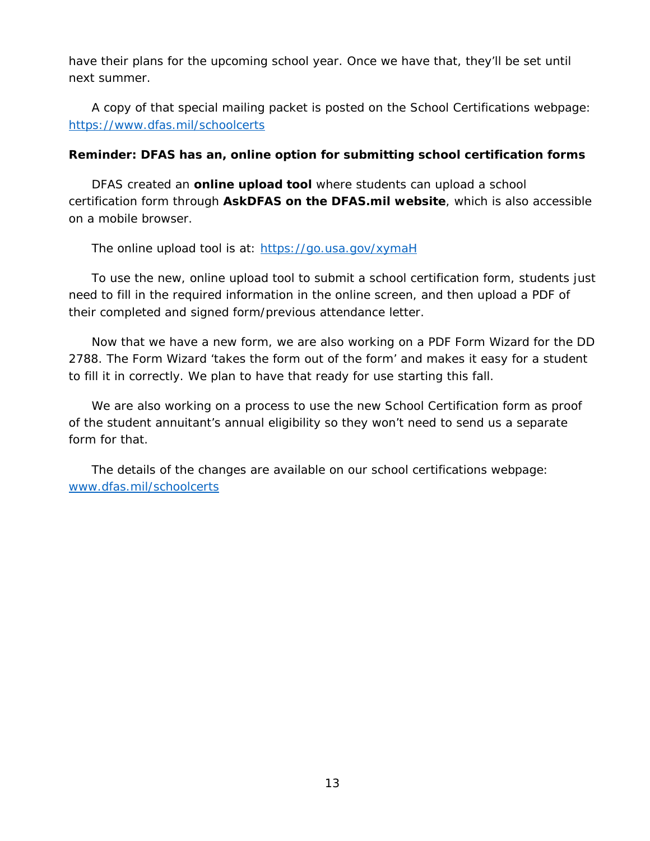have their plans for the upcoming school year. Once we have that, they'll be set until next summer.

A copy of that special mailing packet is posted on the School Certifications webpage: <https://www.dfas.mil/schoolcerts>

## **Reminder: DFAS has an, online option for submitting school certification forms**

DFAS created an **online upload tool** where students can upload a school certification form through **AskDFAS on the DFAS.mil website**, which is also accessible on a mobile browser.

The online upload tool is at:<https://go.usa.gov/xymaH>

To use the new, online upload tool to submit a school certification form, students just need to fill in the required information in the online screen, and then upload a PDF of their completed and signed form/previous attendance letter.

Now that we have a new form, we are also working on a PDF Form Wizard for the DD 2788. The Form Wizard 'takes the form out of the form' and makes it easy for a student to fill it in correctly. We plan to have that ready for use starting this fall.

We are also working on a process to use the new School Certification form as proof of the student annuitant's annual eligibility so they won't need to send us a separate form for that.

The details of the changes are available on our school certifications webpage: [www.dfas.mil/schoolcerts](https://www.dfas.mil/schoolcerts)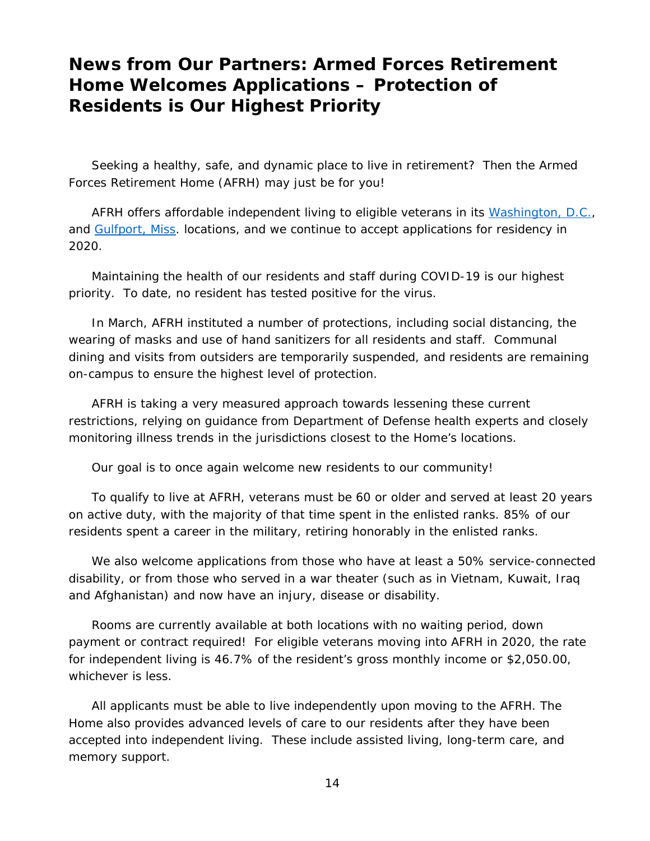## **News from Our Partners: Armed Forces Retirement Home Welcomes Applications – Protection of Residents is Our Highest Priority**

Seeking a healthy, safe, and dynamic place to live in retirement? Then the Armed Forces Retirement Home (AFRH) may just be for you!

AFRH offers affordable independent living to eligible veterans in its [Washington, D.C.,](https://www.afrh.gov/sites/default/files/WashingtonDC-Campus.pdf) and [Gulfport, Miss.](https://www.afrh.gov/sites/default/files/AFRH-Gulfport-Brochure.pdf) locations, and we continue to accept applications for residency in 2020.

Maintaining the health of our residents and staff during COVID-19 is our highest priority. To date, no resident has tested positive for the virus.

In March, AFRH instituted a number of protections, including social distancing, the wearing of masks and use of hand sanitizers for all residents and staff. Communal dining and visits from outsiders are temporarily suspended, and residents are remaining on-campus to ensure the highest level of protection.

AFRH is taking a very measured approach towards lessening these current restrictions, relying on guidance from Department of Defense health experts and closely monitoring illness trends in the jurisdictions closest to the Home's locations.

Our goal is to once again welcome new residents to our community!

To qualify to live at AFRH, veterans must be 60 or older and served at least 20 years on active duty, with the majority of that time spent in the enlisted ranks. 85% of our residents spent a career in the military, retiring honorably in the enlisted ranks.

We also welcome applications from those who have at least a 50% service-connected disability, or from those who served in a war theater (such as in Vietnam, Kuwait, Iraq and Afghanistan) and now have an injury, disease or disability.

Rooms are currently available at both locations with no waiting period, down payment or contract required! For eligible veterans moving into AFRH in 2020, the rate for independent living is 46.7% of the resident's gross monthly income or \$2,050.00, whichever is less.

All applicants must be able to live independently upon moving to the AFRH. The Home also provides advanced levels of care to our residents after they have been accepted into independent living. These include assisted living, long-term care, and memory support.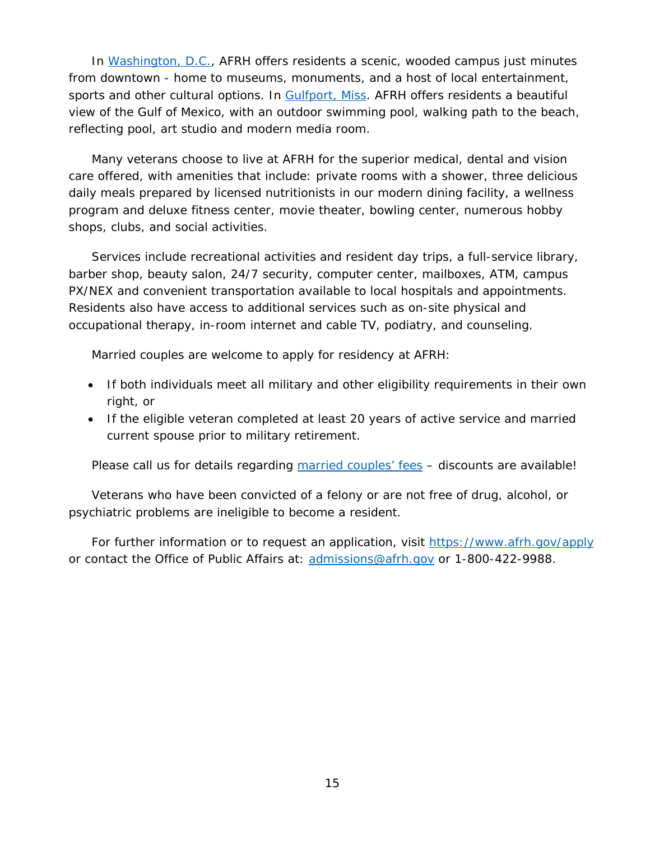In [Washington, D.C.,](https://www.afrh.gov/sites/default/files/WashingtonDC-Campus.pdf) AFRH offers residents a scenic, wooded campus just minutes from downtown - home to museums, monuments, and a host of local entertainment, sports and other cultural options. In [Gulfport, Miss.](https://www.afrh.gov/sites/default/files/AFRH-Gulfport-Brochure.pdf) AFRH offers residents a beautiful view of the Gulf of Mexico, with an outdoor swimming pool, walking path to the beach, reflecting pool, art studio and modern media room.

Many veterans choose to live at AFRH for the superior medical, dental and vision care offered, with amenities that include: private rooms with a shower, three delicious daily meals prepared by licensed nutritionists in our modern dining facility, a wellness program and deluxe fitness center, movie theater, bowling center, numerous hobby shops, clubs, and social activities.

Services include recreational activities and resident day trips, a full-service library, barber shop, beauty salon, 24/7 security, computer center, mailboxes, ATM, campus PX/NEX and convenient transportation available to local hospitals and appointments. Residents also have access to additional services such as on-site physical and occupational therapy, in-room internet and cable TV, podiatry, and counseling.

Married couples are welcome to apply for residency at AFRH:

- If both individuals meet all military and other eligibility requirements in their own right, or
- If the eligible veteran completed at least 20 years of active service and married current spouse prior to military retirement.

Please call us for details regarding [married couples' fees](https://www.afrh.gov/sites/default/files/AFRH-Couple-Info-Nov7-2019.pdf) - discounts are available!

Veterans who have been convicted of a felony or are not free of drug, alcohol, or psychiatric problems are ineligible to become a resident.

For further information or to request an application, visit<https://www.afrh.gov/apply> or contact the Office of Public Affairs at: [admissions@afrh.gov](mailto:admissions@afrh.gov) or 1-800-422-9988.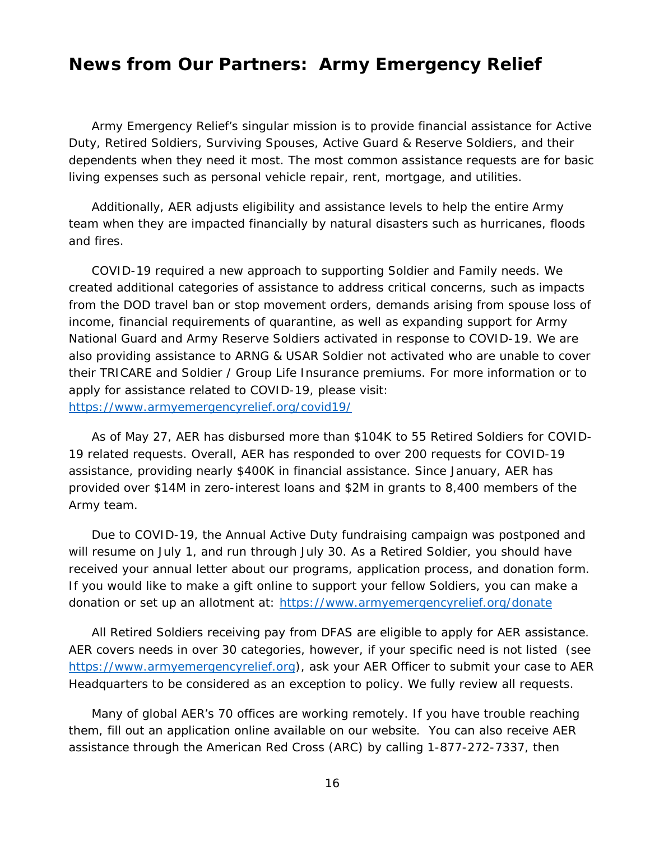## **News from Our Partners: Army Emergency Relief**

Army Emergency Relief's singular mission is to provide financial assistance for Active Duty, Retired Soldiers, Surviving Spouses, Active Guard & Reserve Soldiers, and their dependents when they need it most. The most common assistance requests are for basic living expenses such as personal vehicle repair, rent, mortgage, and utilities.

Additionally, AER adjusts eligibility and assistance levels to help the entire Army team when they are impacted financially by natural disasters such as hurricanes, floods and fires.

COVID-19 required a new approach to supporting Soldier and Family needs. We created additional categories of assistance to address critical concerns, such as impacts from the DOD travel ban or stop movement orders, demands arising from spouse loss of income, financial requirements of quarantine, as well as expanding support for Army National Guard and Army Reserve Soldiers activated in response to COVID-19. We are also providing assistance to ARNG & USAR Soldier not activated who are unable to cover their TRICARE and Soldier / Group Life Insurance premiums. For more information or to apply for assistance related to COVID-19, please visit: <https://www.armyemergencyrelief.org/covid19/>

As of May 27, AER has disbursed more than \$104K to 55 Retired Soldiers for COVID-19 related requests. Overall, AER has responded to over 200 requests for COVID-19 assistance, providing nearly \$400K in financial assistance. Since January, AER has provided over \$14M in zero-interest loans and \$2M in grants to 8,400 members of the Army team.

Due to COVID-19, the Annual Active Duty fundraising campaign was postponed and will resume on July 1, and run through July 30. As a Retired Soldier, you should have received your annual letter about our programs, application process, and donation form. If you would like to make a gift online to support your fellow Soldiers, you can make a donation or set up an allotment at: <https://www.armyemergencyrelief.org/donate>

All Retired Soldiers receiving pay from DFAS are eligible to apply for AER assistance. AER covers needs in over 30 categories, however, if your specific need is not listed (see [https://www.armyemergencyrelief.org\)](https://www.armyemergencyrelief.org/), ask your AER Officer to submit your case to AER Headquarters to be considered as an exception to policy. We fully review all requests.

Many of global AER's 70 offices are working remotely. If you have trouble reaching them, fill out an application online available on our website. You can also receive AER assistance through the American Red Cross (ARC) by calling 1-877-272-7337, then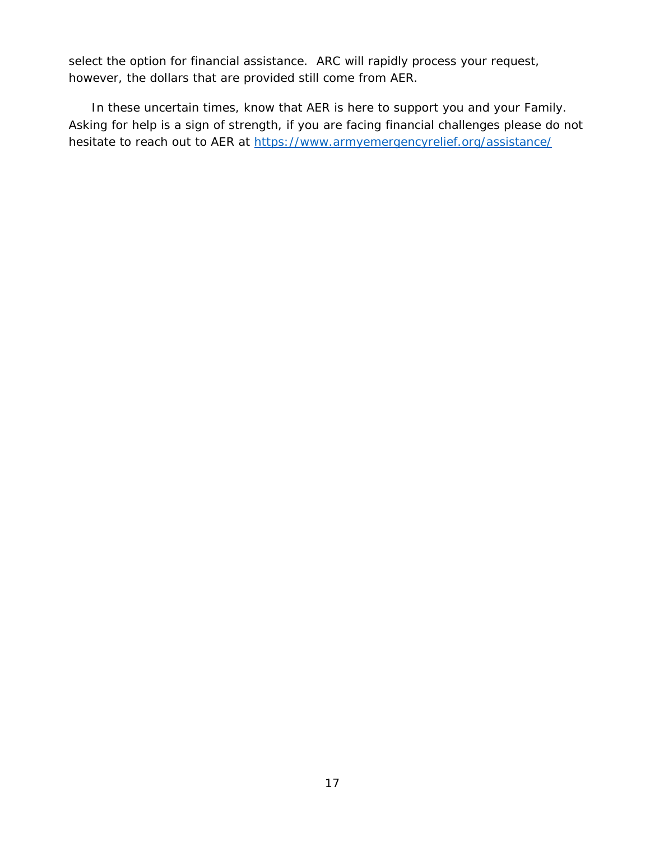select the option for financial assistance. ARC will rapidly process your request, however, the dollars that are provided still come from AER.

In these uncertain times, know that AER is here to support you and your Family. Asking for help is a sign of strength, if you are facing financial challenges please do not hesitate to reach out to AER at<https://www.armyemergencyrelief.org/assistance/>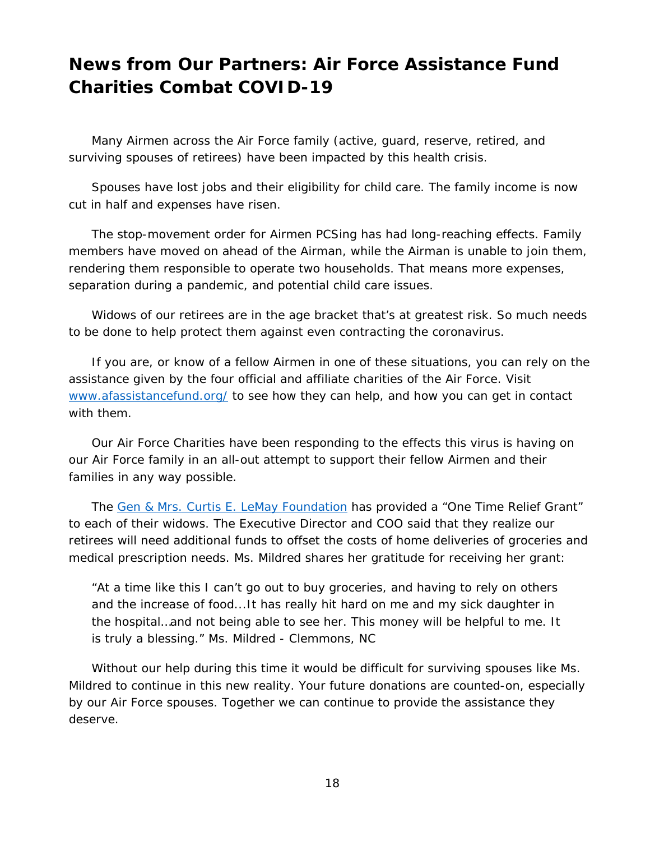# **News from Our Partners: Air Force Assistance Fund Charities Combat COVID-19**

Many Airmen across the Air Force family (active, guard, reserve, retired, and surviving spouses of retirees) have been impacted by this health crisis.

Spouses have lost jobs and their eligibility for child care. The family income is now cut in half and expenses have risen.

The stop-movement order for Airmen PCSing has had long-reaching effects. Family members have moved on ahead of the Airman, while the Airman is unable to join them, rendering them responsible to operate two households. That means more expenses, separation during a pandemic, and potential child care issues.

Widows of our retirees are in the age bracket that's at greatest risk. So much needs to be done to help protect them against even contracting the coronavirus.

If you are, or know of a fellow Airmen in one of these situations, you can rely on the assistance given by the four official and affiliate charities of the Air Force. Visit [www.afassistancefund.org/](http://www.afassistancefund.org/) to see how they can help, and how you can get in contact with them.

Our Air Force Charities have been responding to the effects this virus is having on our Air Force family in an all-out attempt to support their fellow Airmen and their families in any way possible.

The [Gen & Mrs. Curtis E. LeMay](http://www.lemay-foundation.org/) Foundation has provided a "One Time Relief Grant" to each of their widows. The Executive Director and COO said that they realize our retirees will need additional funds to offset the costs of home deliveries of groceries and medical prescription needs. Ms. Mildred shares her gratitude for receiving her grant:

*"At a time like this I can't go out to buy groceries, and having to rely on others and the increase of food...It has really hit hard on me and my sick daughter in the hospital…and not being able to see her. This money will be helpful to me. It is truly a blessing."* Ms. Mildred - Clemmons, NC

Without our help during this time it would be difficult for surviving spouses like Ms. Mildred to continue in this new reality. Your future donations are counted-on, especially by our Air Force spouses. Together we can continue to provide the assistance they deserve.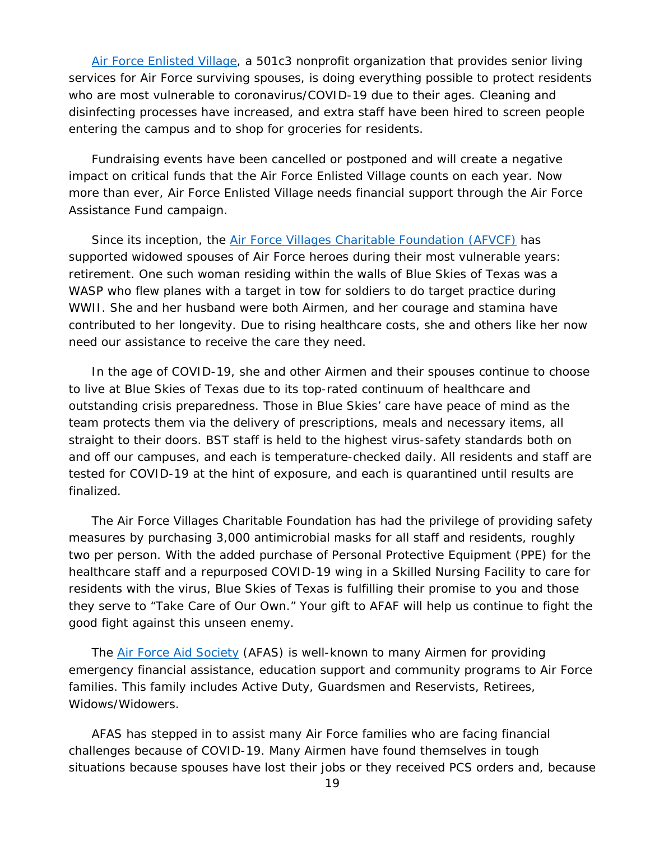[Air Force Enlisted Village,](https://afev.us/coronavirus-information-and-updates/) a 501c3 nonprofit organization that provides senior living services for Air Force surviving spouses, is doing everything possible to protect residents who are most vulnerable to coronavirus/COVID-19 due to their ages. Cleaning and disinfecting processes have increased, and extra staff have been hired to screen people entering the campus and to shop for groceries for residents.

Fundraising events have been cancelled or postponed and will create a negative impact on critical funds that the Air Force Enlisted Village counts on each year. Now more than ever, Air Force Enlisted Village needs financial support through the Air Force Assistance Fund campaign.

Since its inception, the [Air Force Villages Charitable Foundation \(AFVCF\)](https://www.blueskiesoftexas.org/) has supported widowed spouses of Air Force heroes during their most vulnerable years: retirement. One such woman residing within the walls of Blue Skies of Texas was a WASP who flew planes with a target in tow for soldiers to do target practice during WWII. She and her husband were both Airmen, and her courage and stamina have contributed to her longevity. Due to rising healthcare costs, she and others like her now need our assistance to receive the care they need.

In the age of COVID-19, she and other Airmen and their spouses continue to choose to live at Blue Skies of Texas due to its top-rated continuum of healthcare and outstanding crisis preparedness. Those in Blue Skies' care have peace of mind as the team protects them via the delivery of prescriptions, meals and necessary items, all straight to their doors. BST staff is held to the highest virus-safety standards both on and off our campuses, and each is temperature-checked daily. All residents and staff are tested for COVID-19 at the hint of exposure, and each is quarantined until results are finalized.

The Air Force Villages Charitable Foundation has had the privilege of providing safety measures by purchasing 3,000 antimicrobial masks for all staff and residents, roughly two per person. With the added purchase of Personal Protective Equipment (PPE) for the healthcare staff and a repurposed COVID-19 wing in a Skilled Nursing Facility to care for residents with the virus, Blue Skies of Texas is fulfilling their promise to you and those they serve to "Take Care of Our Own." Your gift to AFAF will help us continue to fight the good fight against this unseen enemy.

The [Air Force Aid Society](https://www.afas.org/) (AFAS) is well-known to many Airmen for providing emergency financial assistance, education support and community programs to Air Force families. This family includes Active Duty, Guardsmen and Reservists, Retirees, Widows/Widowers.

AFAS has stepped in to assist many Air Force families who are facing financial challenges because of COVID-19. Many Airmen have found themselves in tough situations because spouses have lost their jobs or they received PCS orders and, because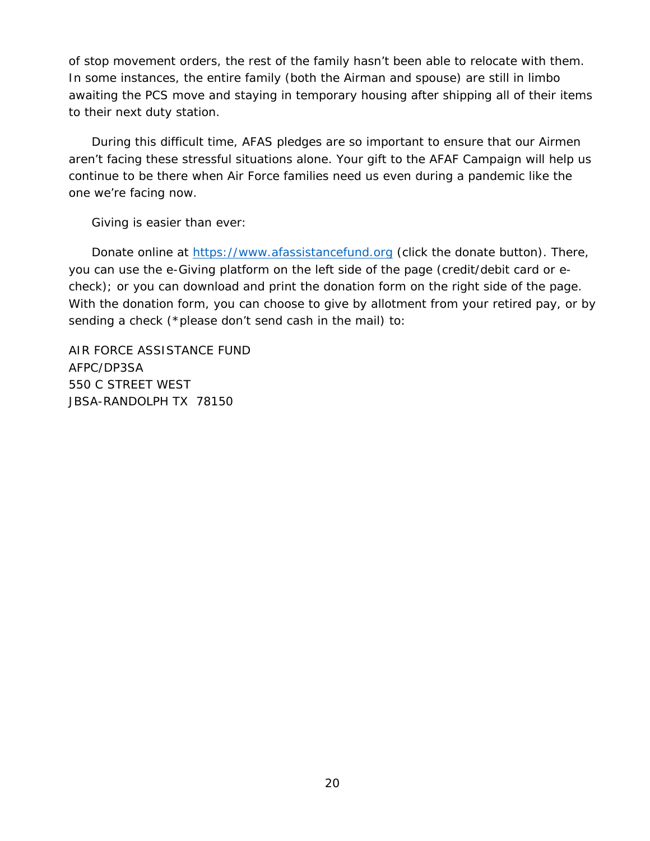of stop movement orders, the rest of the family hasn't been able to relocate with them. In some instances, the entire family (both the Airman and spouse) are still in limbo awaiting the PCS move and staying in temporary housing after shipping all of their items to their next duty station.

During this difficult time, AFAS pledges are so important to ensure that our Airmen aren't facing these stressful situations alone. Your gift to the AFAF Campaign will help us continue to be there when Air Force families need us even during a pandemic like the one we're facing now.

Giving is easier than ever:

Donate online at [https://www.afassistancefund.org](https://www.afassistancefund.org/) (click the donate button). There, you can use the e-Giving platform on the left side of the page (credit/debit card or echeck); or you can download and print the donation form on the right side of the page. With the donation form, you can choose to give by allotment from your retired pay, or by sending a check (\*please don't send cash in the mail) to:

AIR FORCE ASSISTANCE FUND AFPC/DP3SA 550 C STREET WEST JBSA-RANDOLPH TX 78150